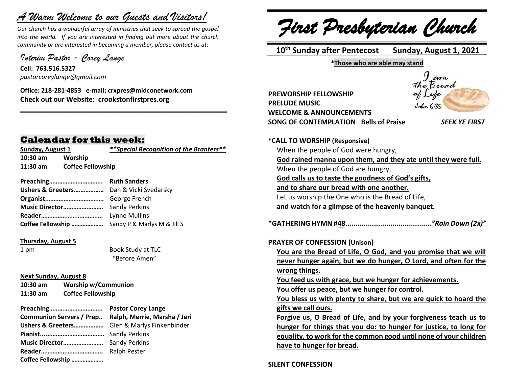# *A Warm Welcome to our Guests and Visitors!*

*Our church has a wonderful array of ministries that seek to spread the gospel into the world. If you are interested in finding out more about the church community or are interested in becoming a member, please contact us at:*

**\_\_\_\_\_\_\_\_\_\_\_\_\_\_\_\_\_\_\_\_\_\_\_\_\_\_\_\_\_\_\_\_\_\_\_\_\_\_\_\_\_\_\_\_\_\_\_\_\_\_\_\_\_\_**

*Interim Pastor - Corey Lange* 

**Cell: 763.516.5327** *pastorcoreylange@gmail.com*

**Office: 218-281-4853 e-mail: crxpres@midconetwork.com Check out our Website: crookstonfirstpres.org**

## **Calendar for this week:**

**10:30 am Worship 11:30 am Coffee Fellowship**

**Sunday, August 1** *\*\*Special Recognition of the Branters\*\**

| Coffee Fellowship  Sandy P & Marlys M & Jill S |  |
|------------------------------------------------|--|

#### **Thursday, August 5**

1 pm Book Study at TLC "Before Amen"

#### **Next Sunday, August 8**

**10:30 am Worship w/Communion 11:30 am Coffee Fellowship**

| Communion Servers / Prep Ralph, Merrie, Marsha / Jeri |  |
|-------------------------------------------------------|--|
|                                                       |  |
|                                                       |  |
|                                                       |  |
|                                                       |  |
| Coffee Fellowship                                     |  |

*First Presbyterian Church*

 **10th Sunday after Pentecost Sunday, August 1, 2021**

**\*Those who are able may stand**

**PREWORSHIP FELLOWSHIP PRELUDE MUSIC WELCOME & ANNOUNCEMENTS SONG OF CONTEMPLATION Bells of Praise** *SEEK YE FIRST*



**\*CALL TO WORSHIP (Responsive)** When the people of God were hungry, **God rained manna upon them, and they ate until they were full.** When the people of God are hungry, **God calls us to taste the goodness of God's gifts, and to share our bread with one another.** Let us worship the One who is the Bread of Life, **and watch for a glimpse of the heavenly banquet. \*GATHERING HYMN #48..........................................***"Rain Down (2x)"* **PRAYER OF CONFESSION (Unison) You are the Bread of Life, O God, and you promise that we will never hunger again, but we do hunger, O Lord, and often for the wrong things. You feed us with grace, but we hunger for achievements. You offer us peace, but we hunger for control. You bless us with plenty to share, but we are quick to hoard the gifts we call ours. Forgive us, O Bread of Life, and by your forgiveness teach us to hunger for things that you do: to hunger for justice, to long for equality, to work for the common good until none of your children have to hunger for bread.**